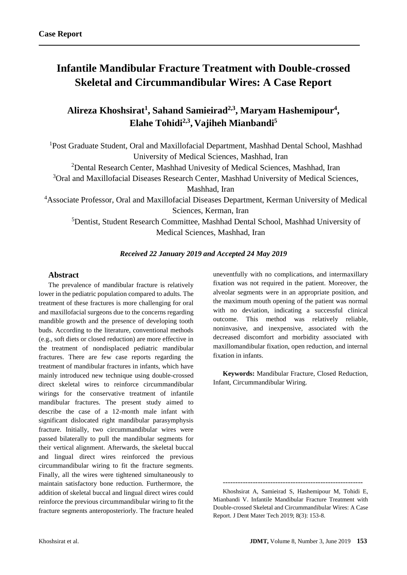# **Infantile Mandibular Fracture Treatment with Double-crossed Skeletal and Circummandibular Wires: A Case Report**

**Alireza Khoshsirat<sup>1</sup> , Sahand Samieirad2,3 , Maryam Hashemipour<sup>4</sup> , Elahe Tohidi2,3 , Vajiheh Mianbandi<sup>5</sup>**

<sup>1</sup>Post Graduate Student, Oral and Maxillofacial Department, Mashhad Dental School, Mashhad University of Medical Sciences, Mashhad, Iran

<sup>2</sup> Dental Research Center, Mashhad Univesity of Medical Sciences, Mashhad, Iran

<sup>3</sup>Oral and Maxillofacial Diseases Research Center, Mashhad University of Medical Sciences,

Mashhad, Iran

<sup>4</sup>Associate Professor, Oral and Maxillofacial Diseases Department, Kerman University of Medical Sciences, Kerman, Iran

<sup>5</sup>Dentist, Student Research Committee, Mashhad Dental School, Mashhad University of Medical Sciences, Mashhad, Iran

## *Received 22 January 2019 and Accepted 24 May 2019*

#### **Abstract**

The prevalence of mandibular fracture is relatively lower in the pediatric population compared to adults. The treatment of these fractures is more challenging for oral and maxillofacial surgeons due to the concerns regarding mandible growth and the presence of developing tooth buds. According to the literature, conventional methods (e.g., soft diets or closed reduction) are more effective in the treatment of nondisplaced pediatric mandibular fractures. There are few case reports regarding the treatment of mandibular fractures in infants, which have mainly introduced new technique using double-crossed direct skeletal wires to reinforce circummandibular wirings for the conservative treatment of infantile mandibular fractures. The present study aimed to describe the case of a 12-month male infant with significant dislocated right mandibular parasymphysis fracture. Initially, two circummandibular wires were passed bilaterally to pull the mandibular segments for their vertical alignment. Afterwards, the skeletal buccal and lingual direct wires reinforced the previous circummandibular wiring to fit the fracture segments. Finally, all the wires were tightened simultaneously to maintain satisfactory bone reduction. Furthermore, the addition of skeletal buccal and lingual direct wires could reinforce the previous circummandibular wiring to fit the fracture segments anteroposteriorly. The fracture healed uneventfully with no complications, and intermaxillary fixation was not required in the patient. Moreover, the alveolar segments were in an appropriate position, and the maximum mouth opening of the patient was normal with no deviation, indicating a successful clinical outcome. This method was relatively reliable, noninvasive, and inexpensive, associated with the decreased discomfort and morbidity associated with maxillomandibular fixation, open reduction, and internal fixation in infants.

**Keywords:** Mandibular Fracture, Closed Reduction, Infant, Circummandibular Wiring.

--------------------------------------------------------

Khoshsirat A, Samieirad S, Hashemipour M, Tohidi E, Mianbandi V. Infantile Mandibular Fracture Treatment with Double-crossed Skeletal and Circummandibular Wires: A Case Report. J Dent Mater Tech 2019; 8(3): 153-8.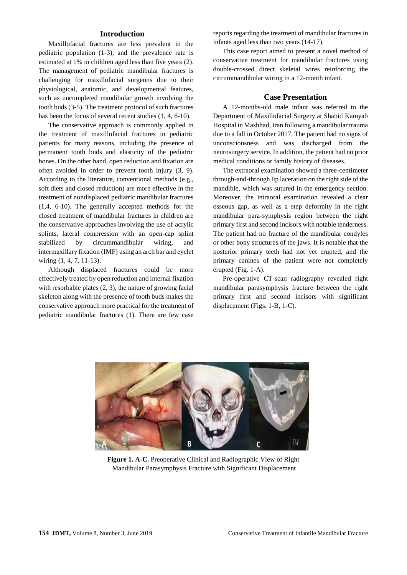#### **Introduction**

Maxillofacial fractures are less prevalent in the pediatric population (1-3), and the prevalence rate is estimated at 1% in children aged less than five years [\(2\)](#page-4-0). The management of pediatric mandibular fractures is challenging for maxillofacial surgeons due to their physiological, anatomic, and developmental features, such as uncompleted mandibular growth involving the tooth buds [\(3-5\)](#page-4-1). The treatment protocol of such fractures has been the focus of several recent studies (1, [4,](#page-4-2) [6-10\)](#page-4-3).

The conservative approach is commonly applied in the treatment of maxillofacial fractures in pediatric patients for many reasons, including the presence of permanent tooth buds and elasticity of the pediatric bones. On the other hand, open reduction and fixation are often avoided in order to prevent tooth injury [\(3,](#page-4-1) [9\)](#page-5-0). According to the literature, conventional methods (e.g., soft diets and closed reduction) are more effective in the treatment of nondisplaced pediatric mandibular fractures (1[,4,](#page-4-2) [6-10\)](#page-4-3). The generally accepted methods for the closed treatment of mandibular fractures in children are the conservative approaches involving the use of acrylic splints, lateral compression with an open-cap splint stabilized by circummandibular wiring, and intermaxillary fixation (IMF) using an arch bar and eyelet wiring  $(1, 4, 7, 11-13)$  $(1, 4, 7, 11-13)$  $(1, 4, 7, 11-13)$  $(1, 4, 7, 11-13)$ .

Although displaced fractures could be more effectively treated by open reduction and internal fixation with resorbable plates  $(2, 3)$  $(2, 3)$ , the nature of growing facial skeleton along with the presence of tooth buds makes the conservative approach more practical for the treatment of pediatric mandibular fractures (1). There are few case

reports regarding the treatment of mandibular fractures in infants aged less than two years [\(14-17\)](#page-5-2).

This case report aimed to present a novel method of conservative treatment for mandibular fractures using double-crossed direct skeletal wires reinforcing the circummandibular wiring in a 12-month infant.

#### **Case Presentation**

A 12-months-old male infant was referred to the Department of Maxillofacial Surgery at Shahid Kamyab Hospital in Mashhad, Iran following a mandibular trauma due to a fall in October 2017. The patient had no signs of unconsciousness and was discharged from the neurosurgery service. In addition, the patient had no prior medical conditions or family history of diseases.

The extraoral examination showed a three-centimeter through-and-through lip laceration on the right side of the mandible, which was sutured in the emergency section. Moreover, the intraoral examination revealed a clear osseous gap, as well as a step deformity in the right mandibular para-symphysis region between the right primary first and second incisors with notable tenderness. The patient had no fracture of the mandibular condyles or other bony structures of the jaws. It is notable that the posterior primary teeth had not yet erupted, and the primary canines of the patient were not completely erupted (Fig. 1-A).

Pre-operative CT-scan radiography revealed right mandibular parasymphysis fracture between the right primary first and second incisors with significant displacement (Figs. 1-B, 1-C).



**Figure 1. A-C.** Preoperative Clinical and Radiographic View of Right Mandibular Parasymphysis Fracture with Significant Displacement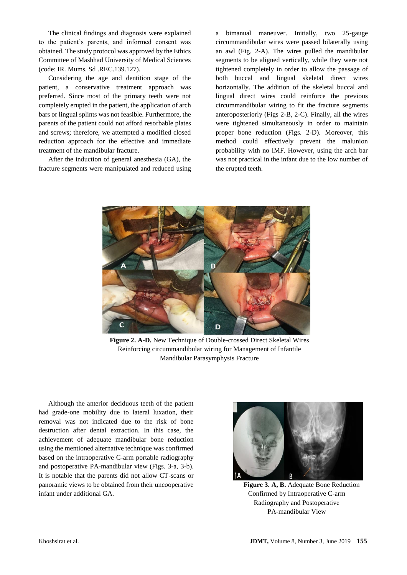The clinical findings and diagnosis were explained to the patient's parents, and informed consent was obtained. The study protocol was approved by the Ethics Committee of Mashhad University of Medical Sciences (code: IR. Mums. Sd .REC.139.127).

Considering the age and dentition stage of the patient, a conservative treatment approach was preferred. Since most of the primary teeth were not completely erupted in the patient, the application of arch bars or lingual splints was not feasible. Furthermore, the parents of the patient could not afford resorbable plates and screws; therefore, we attempted a modified closed reduction approach for the effective and immediate treatment of the mandibular fracture.

After the induction of general anesthesia (GA), the fracture segments were manipulated and reduced using a bimanual maneuver. Initially, two 25-gauge circummandibular wires were passed bilaterally using an awl (Fig. 2-A). The wires pulled the mandibular segments to be aligned vertically, while they were not tightened completely in order to allow the passage of both buccal and lingual skeletal direct wires horizontally. The addition of the skeletal buccal and lingual direct wires could reinforce the previous circummandibular wiring to fit the fracture segments anteroposteriorly (Figs 2-B, 2-C). Finally, all the wires were tightened simultaneously in order to maintain proper bone reduction (Figs. 2-D). Moreover, this method could effectively prevent the malunion probability with no IMF. However, using the arch bar was not practical in the infant due to the low number of the erupted teeth.



**Figure 2. A-D.** New Technique of Double-crossed Direct Skeletal Wires Reinforcing circummandibular wiring for Management of Infantile Mandibular Parasymphysis Fracture

Although the anterior deciduous teeth of the patient had grade-one mobility due to lateral luxation, their removal was not indicated due to the risk of bone destruction after dental extraction. In this case, the achievement of adequate mandibular bone reduction using the mentioned alternative technique was confirmed based on the intraoperative C-arm portable radiography and postoperative PA-mandibular view (Figs. 3-a, 3-b). It is notable that the parents did not allow CT-scans or panoramic views to be obtained from their uncooperative infant under additional GA.



**Figure 3. A, B.** Adequate Bone Reduction Confirmed by Intraoperative C-arm Radiography and Postoperative PA-mandibular View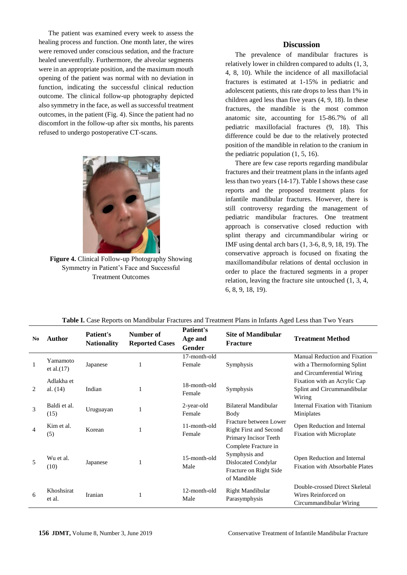The patient was examined every week to assess the healing process and function. One month later, the wires were removed under conscious sedation, and the fracture healed uneventfully. Furthermore, the alveolar segments were in an appropriate position, and the maximum mouth opening of the patient was normal with no deviation in function, indicating the successful clinical reduction outcome. The clinical follow-up photography depicted also symmetry in the face, as well as successful treatment outcomes, in the patient (Fig. 4). Since the patient had no discomfort in the follow-up after six months, his parents refused to undergo postoperative CT-scans.



**Figure 4.** Clinical Follow-up Photography Showing Symmetry in Patient's Face and Successful Treatment Outcomes

## **Discussion**

The prevalence of mandibular fractures is relatively lower in children compared to adults (1, [3,](#page-4-1) [4,](#page-4-2) [8,](#page-5-3) [10\)](#page-5-4). While the incidence of all maxillofacial fractures is estimated at 1-15% in pediatric and adolescent patients, this rate drops to less than 1% in children aged less than five years [\(4,](#page-4-2) [9,](#page-5-0) [18\)](#page-5-5). In these fractures, the mandible is the most common anatomic site, accounting for 15-86.7% of all pediatric maxillofacial fractures [\(9,](#page-5-0) [18\)](#page-5-5). This difference could be due to the relatively protected position of the mandible in relation to the cranium in the pediatric population (1[, 5,](#page-4-5) [16\)](#page-5-6).

There are few case reports regarding mandibular fractures and their treatment plans in the infants aged less than two years [\(14-17\)](#page-5-2). Table I shows these case reports and the proposed treatment plans for infantile mandibular fractures. However, there is still controversy regarding the management of pediatric mandibular fractures. One treatment approach is conservative closed reduction with splint therapy and circummandibular wiring or IMF using dental arch bars (1[, 3-6,](#page-4-1) [8,](#page-5-3) [9,](#page-5-0) [18,](#page-5-5) [19\)](#page-5-7). The conservative approach is focused on fixating the maxillomandibular relations of dental occlusion in order to place the fractured segments in a proper relation, leaving the fracture site untouched (1, [3,](#page-4-1) [4,](#page-4-2) [6,](#page-4-3) [8,](#page-5-3) [9,](#page-5-0) [18,](#page-5-5) [19\)](#page-5-7).

| $\mathbf{N}\mathbf{0}$ | <b>Author</b>             | Patient's<br><b>Nationality</b> | Number of<br><b>Reported Cases</b> | Patient's<br>Age and<br>Gender | <b>Site of Mandibular</b><br><b>Fracture</b>                                                          | <b>Treatment Method</b>                                                                    |
|------------------------|---------------------------|---------------------------------|------------------------------------|--------------------------------|-------------------------------------------------------------------------------------------------------|--------------------------------------------------------------------------------------------|
|                        | Yamamoto<br>et al. $(17)$ | Japanese                        |                                    | 17-month-old<br>Female         | Symphysis                                                                                             | Manual Reduction and Fixation<br>with a Thermoforming Splint<br>and Circumferential Wiring |
| 2                      | Adlakha et<br>al. $(14)$  | Indian                          | 1                                  | 18-month-old<br>Female         | Symphysis                                                                                             | Fixation with an Acrylic Cap<br>Splint and Circummandibular<br>Wiring                      |
| 3                      | Baldi et al.<br>(15)      | Uruguayan                       |                                    | 2-year-old<br>Female           | Bilateral Mandibular<br>Body                                                                          | Internal Fixation with Titanium<br>Miniplates                                              |
| 4                      | Kim et al.<br>(5)         | Korean                          |                                    | 11-month-old<br>Female         | Fracture between Lower<br><b>Right First and Second</b><br>Primary Incisor Teeth                      | Open Reduction and Internal<br><b>Fixation with Microplate</b>                             |
| 5                      | Wu et al.<br>(10)         | Japanese                        | 1                                  | 15-month-old<br>Male           | Complete Fracture in<br>Symphysis and<br>Dislocated Condylar<br>Fracture on Right Side<br>of Mandible | Open Reduction and Internal<br><b>Fixation with Absorbable Plates</b>                      |
| 6                      | Khoshsirat<br>et al.      | Iranian                         |                                    | 12-month-old<br>Male           | Right Mandibular<br>Parasymphysis                                                                     | Double-crossed Direct Skeletal<br>Wires Reinforced on<br>Circummandibular Wiring           |

**Table I.** Case Reports on Mandibular Fractures and Treatment Plans in Infants Aged Less than Two Years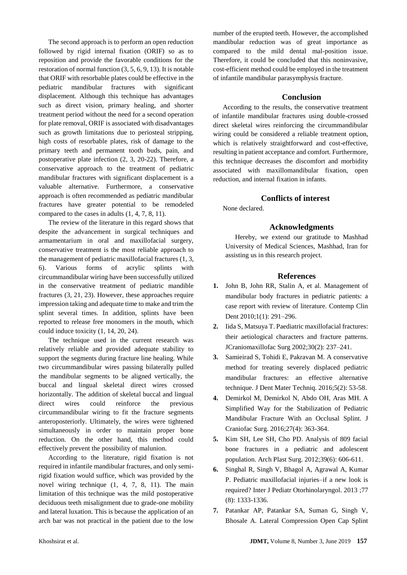The second approach is to perform an open reduction followed by rigid internal fixation (ORIF) so as to reposition and provide the favorable conditions for the restoration of normal function [\(3,](#page-4-1) [5,](#page-4-5) [6,](#page-4-3) [9,](#page-5-0) [13\)](#page-5-8). It is notable that ORIF with resorbable plates could be effective in the pediatric mandibular fractures with significant displacement. Although this technique has advantages such as direct vision, primary healing, and shorter treatment period without the need for a second operation for plate removal, ORIF is associated with disadvantages such as growth limitations due to periosteal stripping, high costs of resorbable plates, risk of damage to the primary teeth and permanent tooth buds, pain, and postoperative plate infection [\(2,](#page-4-0) [3,](#page-4-1) [20-22\)](#page-5-9). Therefore, a conservative approach to the treatment of pediatric mandibular fractures with significant displacement is a valuable alternative. Furthermore, a conservative approach is often recommended as pediatric mandibular fractures have greater potential to be remodeled compared to the cases in adults (1, [4,](#page-4-2) [7,](#page-4-4) [8,](#page-5-3) [11\)](#page-5-1).

The review of the literature in this regard shows that despite the advancement in surgical techniques and armamentarium in oral and maxillofacial surgery, conservative treatment is the most reliable approach to the management of pediatric maxillofacial fractures (1, [3,](#page-4-1) [6\)](#page-4-3). Various forms of acrylic splints with circummandibular wiring have been successfully utilized in the conservative treatment of pediatric mandible fractures [\(3,](#page-4-1) [21,](#page-5-10) [23\)](#page-5-11). However, these approaches require impression taking and adequate time to make and trim the splint several times. In addition, splints have been reported to release free monomers in the mouth, which could induce toxicity (1, [14,](#page-5-2) [20,](#page-5-9) [24\)](#page-5-12).

The technique used in the current research was relatively reliable and provided adequate stability to support the segments during fracture line healing. While two circummandibular wires passing bilaterally pulled the mandibular segments to be aligned vertically, the buccal and lingual skeletal direct wires crossed horizontally. The addition of skeletal buccal and lingual direct wires could reinforce the previous circummandibular wiring to fit the fracture segments anteroposteriorly. Ultimately, the wires were tightened simultaneously in order to maintain proper bone reduction. On the other hand, this method could effectively prevent the possibility of malunion.

According to the literature, rigid fixation is not required in infantile mandibular fractures, and only semirigid fixation would suffice, which was provided by the novel wiring technique (1, [4,](#page-4-2) [7,](#page-4-4) [8,](#page-5-3) [11\)](#page-5-1). The main limitation of this technique was the mild postoperative deciduous teeth misalignment due to grade-one mobility and lateral luxation. This is because the application of an arch bar was not practical in the patient due to the low

number of the erupted teeth. However, the accomplished mandibular reduction was of great importance as compared to the mild dental mal-position issue. Therefore, it could be concluded that this noninvasive, cost-efficient method could be employed in the treatment of infantile mandibular parasymphysis fracture.

#### **Conclusion**

According to the results, the conservative treatment of infantile mandibular fractures using double-crossed direct skeletal wires reinforcing the circummandibular wiring could be considered a reliable treatment option, which is relatively straightforward and cost-effective, resulting in patient acceptance and comfort. Furthermore, this technique decreases the discomfort and morbidity associated with maxillomandibular fixation, open reduction, and internal fixation in infants.

# **Conflicts of interest**

None declared.

# **Acknowledgments**

Hereby, we extend our gratitude to Mashhad University of Medical Sciences, Mashhad, Iran for assisting us in this research project.

#### **References**

- <span id="page-4-0"></span>**1.** John B, John RR, Stalin A, et al. Management of mandibular body fractures in pediatric patients: a case report with review of literature. Contemp Clin Dent 2010;1(1): 291–296.
- <span id="page-4-1"></span>**2.** Iida S, Matsuya T. Paediatric maxillofacial fractures: their aetiological characters and fracture patterns. JCraniomaxillofac Surg 2002;30(2): 237–241.
- **3.** Samieirad S, Tohidi E, Pakravan M. A conservative method for treating severely displaced pediatric mandibular fractures: an effective alternative technique. J Dent Mater Techniq. 2016;5(2): 53-58.
- <span id="page-4-2"></span>**4.** Demirkol M, Demirkol N, Abdo OH, Aras MH. A Simplified Way for the Stabilization of Pediatric Mandibular Fracture With an Occlusal Splint. J Craniofac Surg. 2016;27(4): 363-364.
- <span id="page-4-5"></span>**5.** Kim SH, Lee SH, Cho PD. Analysis of 809 facial bone fractures in a pediatric and adolescent population. Arch Plast Surg. 2012;39(6): 606-611.
- <span id="page-4-3"></span>**6.** Singhal R, Singh V, Bhagol A, Agrawal A, Kumar P. Pediatric maxillofacial injuries–if a new look is required? Inter J Pediatr Otorhinolaryngol. 2013 ;77 (8): 1333-1336.
- <span id="page-4-4"></span>**7.** Patankar AP, Patankar SA, Suman G, Singh V, Bhosale A. Lateral Compression Open Cap Splint